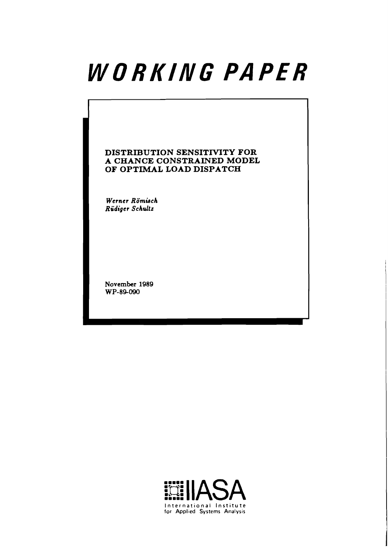# WORKING PAPER

## **DISTRIBUTION SENSITMTY FOR A CHANCE CONSTRAINED MODEL OF OPTIMAL LOAD DISPATCH**

Werner Römisch **Rudiger Schultz** 

**November 1989 WP-84090** 

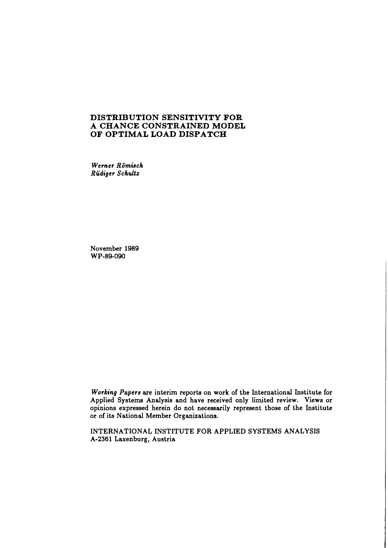#### **DISTRIBUTION SENSITNITY FOR A CHANCE CONSTRAINED MODEL OF OPTIMAL LOAD DISPATCH**

*Werner Rombch Rudiger Schultz* 

November 1989 WP-89-090

*Working Papers* are interim reports on work of the International Institute for Applied Systems Analysis and have received only limited review. Views or opinions expressed herein do not necessarily represent those of the Institute or of its National Member Organizations.

INTERNATIONAL INSTITUTE FOR APPLIED SYSTEMS ANALYSIS A-2361 Laxenburg, Austria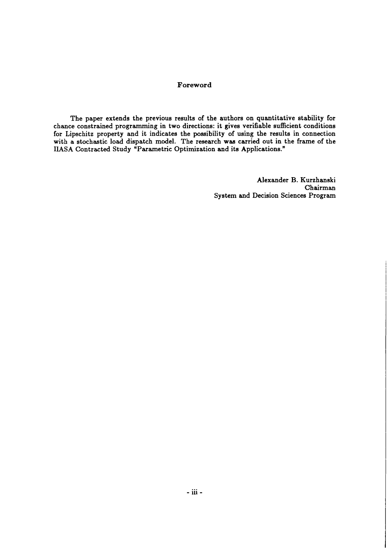#### **Foreword**

The paper extends the previous results of the authors on quantitative stability for chance constrained programming in two directions: it gives verifiable sufficient conditions for Lipschitz property and it indicates the possibility of using the results in connection with a stochastic load dispatch model. The research **was** carried out in the frame of the IIASA Contracted Study "Parametric Optimization and its Applications."

> Alexander B. Kurzhanski Chairman System and Decision Sciences Program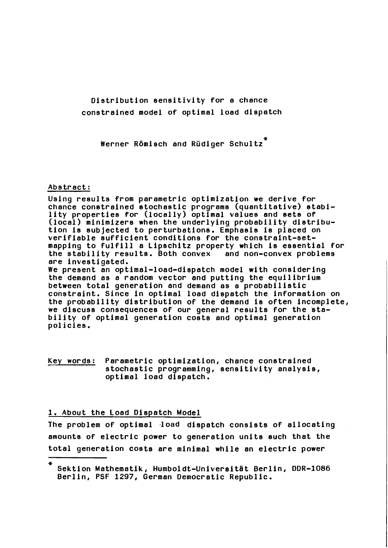## Distribution sensitivity for a chance constrained model of optimal load dispatch

werner Römisch and Rüdiger Schultz<sup>\*</sup>

#### Abstract:

Using results from parametric optimization we derive for chance conetrained etochastic programs (quantitative) etability properties for (locally) optimal values and eets of (local) minimizers when the underlying probability distribution is subjected to perturbations. Emphasis is placed on verifiable sufficient conditions for the constraint-setmapping to fulfill a Lipschitz property which is essential for the stability results. Both convex and non-convex problems are investigated.

We present an optimal-load-dispatch model with considering the demand as a random vector and putting the equilibrium between total generation and demand as a probabilistic constraint. Since in optimal load dispatch the information on the probability distribution of the demand is often incomplete, we discuss consequences of our general results for the btability of optimal generation costs and optimal generation policies.

Key words: Parametric optimization, chance constrained stochastic programming, sensitivity analysis, optimal load dispatch.

#### 1. About the Load Dispatch Model

The problem of optimal load dispatch consists of allocating amounts of electric power to generation units euch that the total generation costs are minimal while an electric power

<sup>\*</sup>  Sektion Mathematik, Humboldt-Universitat Berlin, DDR-1086 Berlin, PSF 1297, German Democratic Republic.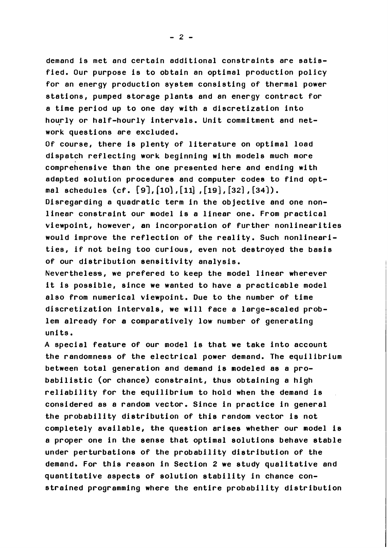demand is met and certain additional constraints are satisfied. Our purpose is to obtain an optimal production policy for an energy production system consisting of thermal power stations, pumped storage plants and an energy contract for a time period up to one day with a discretization into hourly or half-hourly intervals. Unit commitment and network questions are excluded.

Of course, there is plenty of literature on optimal load dispatch reflecting work beginning with models much more comprehensive than the one presented here and ending with adapted solution procedures and computer codes to find optcomprehensive than the one presented here and ender<br>adapted solution procedures and computer codes to<br>mal schedules (cf. [9],[10],[11],[19],[32],[34]).

Disregarding a quadratic term in the objective and one nonlinear constraint our model is a linear one. From practical viewpoint, however, an incorporation of further nonlinearities would improve the reflection of the reality. Such nonlinearities, if not being too curious, even not destroyed the basis of our distribution sensitivity analysis.

Nevertheless, we prefered to keep the model linear wherever it is possible, since we wanted to have a practicable model also from numerical viewpoint. Due to the number of time discretization intervals, we will face a large-scaled problem already for a comparatively low number of generating units.

A special feature of our model is that we take into account the randomness of the electrical power demand. The equilibrium between total generation and demand is modeled as a probabilistic (or chance) constraint, thus obtaining a high reliability for the equilibrium to hold when the demand is considered as a random vector. Since in practice in general the probability distribution of this random vector is not completely available, the question arises whether our model is a proper one in the sense that optimal solutions behave stable under perturbations of the probability distribution of the demand. For this reason in Section 2 we study qualitative and quantitative aspects of solution stability in chance constrained programming where the entire probability distribution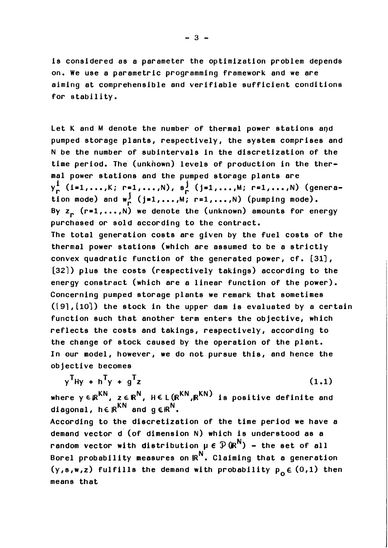is considered as a parameter the optimization problem depends on. We use a parametric programming framework and we are aiming at comprehensible and verifiable sufficient conditions for stability.

Let K and **M** denote the number of thermal power stations apd pumped storage plants, respectively, the system comprises and N be the number of subintervals in the discretization of the time period. The (unknown) levels of production in the thermal power stations and the pumped storage plants are time period. The (unknown) levels of production in the ther-<br>mal power stations and the pumped storage plants are<br>y<mark>i</mark> (i=1,...,K; r=1,...,N), s<sub>r</sub> (j=1,...,M; r=1,...,N) (genera<sub>:</sub> tion mode) and  $w_r^j$  (j=1,...,M; r=1,...,N) (pumping mode). By  $z_n$  (r=1,..., N) we denote the (unknown) amounts for energy purchased or sold according to the contract. The total generation costs are given by the fuel costs of the thermal power stations (which are assumed to be a strictly convex quadratic function of the generated power, cf. [31], [32]) plus the costs (respectively takings) according to the energy constract (which are a linear function of the power). Concerning pumped storage plants we remark that sometimes **((91,** (101) the stock in the upper dam is evaluated by a certain function such that another term enters the objective, which reflects the costs and takings, respectively, according to the change of stock caused by the operation of the plant. In our model, however, we do not pursue this, and hence the objective becomes

$$
y^T Hy + h^T y + g^T z \qquad (1.1)
$$

where  $y \in \mathbb{R}^{KN}$ ,  $z \in \mathbb{R}^{N}$ ,  $H \in L(\mathbb{R}^{KN}, \mathbb{R}^{KN})$  is positive definite and diagonal,  $h \in \mathbb{R}^{\overline{KN}}$  and  $g \in \mathbb{R}^N$ .

According to the discretization of .the time period we have a demand vector d' (of dimension N) which is understood as a random vector with distribution  $\mu \in \mathcal{P}(R^N)$  - the set of all Borel probability measures on  $\mathbb{R}^N$ . Claiming that a generation (y,s,w,z) fulfills the demand with probability  $p_{0} \in (0,1)$  then means that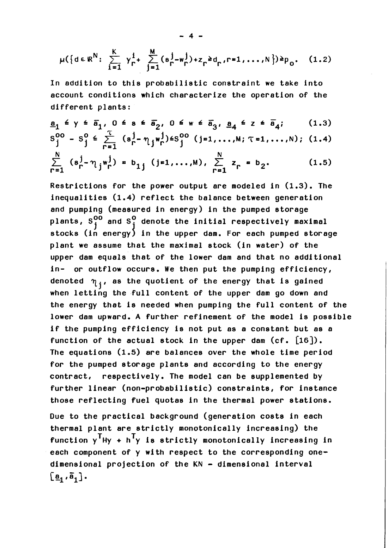$$
\mu({a \in \mathbb{R}^N : \sum_{i=1}^K \gamma_r^i + \sum_{j=1}^M (s_r^j - w_r^j) + z_r^2 d_r, r = 1, ..., N}) \geq p_0.
$$
 (1.2)

In addition to this probabilistic constraint we take into account conditions which characterize the operation of the different plants:

$$
\underline{a}_{1} \leq y \leq \overline{a}_{1}, 0 \leq s \leq \overline{a}_{2}, 0 \leq w \leq \overline{a}_{3}, \underline{a}_{4} \leq z \leq \overline{a}_{4}; \qquad (1.3)
$$
  

$$
S_{j}^{00} - S_{j}^{0} \leq \sum_{r=1}^{T} (s_{r}^{j} - \eta_{j} w_{r}^{j}) \leq S_{j}^{00} (j=1,...,M; \tau=1,...,N); (1.4)
$$

$$
\sum_{r=1}^{N} (s_r^j - \eta_j w_r^j) = b_{1j} (j=1,...,M), \sum_{r=1}^{N} z_r = b_2.
$$
 (1.5)

Restrictions for the power output are modeled in (1.3). The inequalities (1.4) reflect the balance between generation and pumping (measured in energy) in the pumped storage plants,  $S^{00}_{\texttt{i}}$  and  $S^{0}_{\texttt{i}}$  denote the initial respectively maximal stocks (in energy) in the upper dam. For each pumped storage plant we assume that the maximal stock (in water) of the upper dam equals that of the lower dam and that no additional in- or outflow occurs. We then put the pumping efficiency, denoted  $\eta_j$ , as the quotient of the energy that is gained when letting the full content of the upper dam go down and the energy that is needed when pumping the full content of the lower dam upward. A further refinement of the model is possible if the pumping efficiency is not put as a constant but as a function of the actual stock in the upper dam  $(cf. [16])$ . The equations (1.5) are balances over the whole time period for the pumped storage plants and according to the energy contract, respectively. The model can be supplemented by further linear (non-probabilistic) constraints, for instance those reflecting fuel quotas in the thermal power stations.

Due to the practical background (generation costs in each thermal plant are strictly monotonically increasing) the function  $y^T$ Hy + h<sup>T</sup>y is strictly monotonically increasing in each component of y with respect to the corresponding onedimensional projection of the KN - dimensional interval  $\left[\frac{a}{1}, \overline{a}_{1}\right]$ .

 $\boldsymbol{A}$   $\boldsymbol{A}$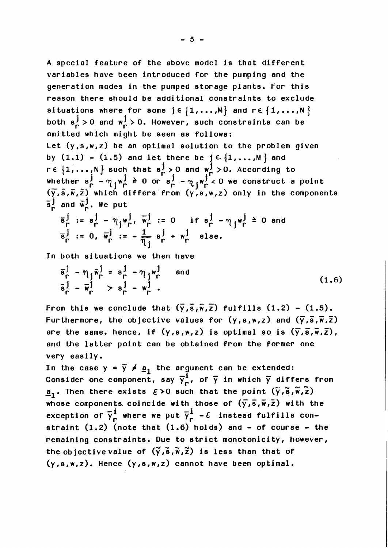A special feature of the above model ia that different variables have been introduced for the pumping and the generation modes in the pumped storage plants. For this reason there should be additional constraints to exclude situations where for some  $j \in \{1, ..., M\}$  and  $r \in \{1, ..., N\}$ both  $s_n^j > 0$  and  $w_n^j > 0$ . However, such constraints can be omitted which might be seen as follows: Let (y,s,w,z) be an optimal solution to the problem given by  $(1.1)$  -  $(1.5)$  and let there be  $j \in \{1, ..., M\}$  and by (1.1) - (1.5) and let there be  $j \in \{1, \ldots, M\}$  and<br>re  $\{1, \ldots, N\}$  such that  $s_0^j > 0$  and  $w_1^j > 0$ . According to whether  $s_{\Gamma}^{j}$  -  $\eta_{j}w_{\Gamma}^{j}$   $\geq 0$  or  $s_{\Gamma}^{j}$  -  $\eta_{j}w_{\Gamma}^{j}$  < 0 we construct a point  $(\overline{x}, \overline{z}, \overline{w}, \overline{z})$  which differe from  $(y, z, w, \overline{z})$  orly in the company  $(\overline{y},\overline{s},\overline{w},\overline{z})$  which differs from  $(y,s,w,z)$  only in the components  $\bar{s}^j_r$  and  $\bar{w}^j_r$ . We put

$$
\overline{s}_{\Gamma}^{j} := s_{\Gamma}^{j} - \eta_{j} w_{\Gamma}^{j}, \overline{w}_{\Gamma}^{j} := 0 \quad \text{if } s_{\Gamma}^{j} - \eta_{j} w_{\Gamma}^{j} \ge 0 \text{ and}
$$
  

$$
\overline{s}_{\Gamma}^{j} := 0, \overline{w}_{\Gamma}^{j} := -\frac{1}{\eta_{j}} s_{\Gamma}^{j} + w_{\Gamma}^{j} \text{ else.}
$$

In both situations we then have

$$
\overline{s}_{\Gamma}^{j} - \eta_{j} \overline{w}_{\Gamma}^{j} = s_{\Gamma}^{j} - \eta_{j} w_{\Gamma}^{j} \quad \text{and} \quad (1.6)
$$
\n
$$
\overline{s}_{\Gamma}^{j} - \overline{w}_{\Gamma}^{j} > s_{\Gamma}^{j} - w_{\Gamma}^{j}.
$$

 $\overline{r}$  =  $\overline{r}$  =  $\overline{r}$ ) From this we conclude that  $(\bar y, \bar s, \bar w, \bar z)$  fulfills  $(1.2)$  -  $(1.5)$ Furthermore, the objective values for  $(y, s, w, z)$  and  $(\bar{y}, \bar{s}, \bar{w}, \bar{z})$ <br>are the same. hence, if  $(y, s, w, z)$  is optimal so is  $(\bar{y}, \bar{s}, \bar{w}, \bar{z})$ , and the latter point can be obtained from the former one very easily.

In the case  $y = \overline{y} \neq g_1$  the argument can be extended: Consider one component, say  $\overline{y}_r^{\overline{i}}$ , of  $\overline{y}$  in which  $\overline{y}$  differs from  $\underline{a}_1$ . Then there exists  $\epsilon > 0$  such that the point  $(\tilde{\mathsf{y}}, \tilde{\mathsf{s}}, \tilde{\mathsf{w}}, \tilde{\mathsf{z}})$ whose components coincide with those of  $(\overline{\mathsf{y}},\overline{\mathsf{s}},\overline{\mathsf{w}},\overline{\mathsf{z}})$  with the exception of  $\overline{\gamma}_{_{\mathbf{\Gamma}}}^1$  where we put  $\overline{\gamma}_{_{\mathbf{\Gamma}}}^1$  -E instead fulfills constraint  $(1.2)$  (note that  $(1.6)$  holds) and  $-$  of course  $-$  the remaining constraints. Due to strict monotonicity, however, the objective value of  $(\tilde{y},\tilde{s},\tilde{w},\tilde{z})$  is less than that of  $(y, s, w, z)$ . Hence  $(y, s, w, z)$  cannot have been optimal.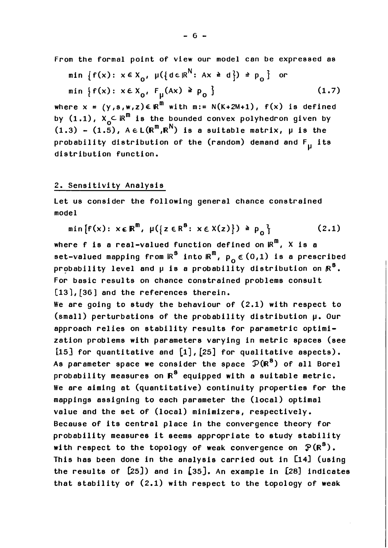From the formal point of view our model can be expressed as  
\nmin 
$$
\{f(x): x \in X_0, \mu(\{d \in \mathbb{R}^N : Ax \ge d\}) \ge p_0\}
$$
 or  
\nmin  $\{f(x): x \in X_0, F_\mu(Ax) \ge p_0\}$  (1.7)

where  $x = (y, s, w, z) \in \mathbb{R}^m$  with  $m := N(K+2M+1)$ ,  $f(x)$  is defined by  $(1.1)$ ,  $X_0 \subset \mathbb{R}^m$  is the bounded convex polyhedron given by  $(1.3)$  -  $(1.5)$ ,  $A \in L(R^m, R^N)$  is a suitable matrix,  $\mu$  is the probability distribution of the (random) demand and  $F_{11}$  its distribution function.

## 2. Sensitivity Analysis

Let us consider the following general chance constrained model

$$
\min\{f(x): x \in \mathbb{R}^m, \ \mu(\{z \in \mathbb{R}^8: x \in X(z)\}) \geq p_0\} \tag{2.1}
$$

where f is a real-valued function defined on  $\mathbb{R}^m$ , X is a set-valued mapping from  $\kappa^{\mathbf{s}}$  into  $\kappa^{\mathbf{m}}$ ,  $\rho_{\alpha} \in (0,1)$  is a prescribed probability level and  $\mu$  is a probability distribution on  $\mathbb{R}^8$ . For basic results on chance constrained problems consult [13], [36] and the references therein.

We are going to study the behaviour of  $(2.1)$  with respect to (small) perturbations of the probability distribution **p.** Our approach relies on stability results for parametric optimization problems with parameters varying in metric spaces (see [15] for quantitative and  $[1]$ ,  $[25]$  for qualitative aspects). As parameter space we consider the space  $\mathcal{P}(\mathbb{R}^8)$  of all Borel probability measures on  $R^8$  equipped with a suitable metric. We are aiming at (quantitative) continuity properties for the mappings assigning to each parameter the (local) optimal value and the set of (local) minimizers, respectively. Because of its central place in the convergence theory for probability measures it seems appropriate to study stability with respect to the topology of weak convergence on  $P(R^8)$ . This has been done in the analysis carried out in [14] (using the results of [25]) and in [35]. An example in [28] indicates that stability of (2.1) with respect to the topology of weak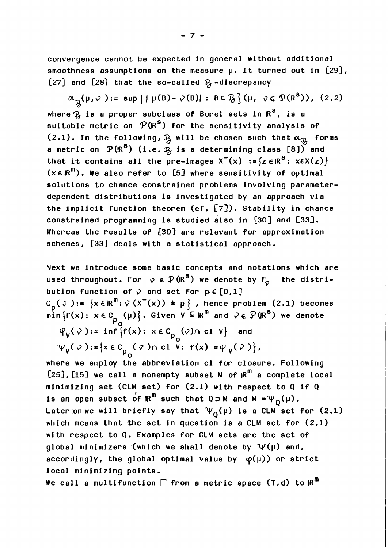convergence cannot be expected in general without additional smoothness assumptions on the measure  $\upmu$ . It turned out in [29], [27] and [28] that the so-called  $\mathcal{B}_1$ -discrepancy

 $\alpha_{\mathcal{R}}(\mu,\nu) := \sup \{ \mid \mu(B) - \nu(B) \mid : B \in \mathcal{B} \} (\mu, \nu \in \mathcal{P}(R^{8}))$ , (2.2) where  $\mathfrak{F}_3$  is a proper subclass of Borel sets in  $\mathbb{R}^8$ , is a suitable metric on  $P(\mathbb{R}^8)$  for the sensitivity analysis of  $(2.1)$ . In the following,  $\beta$  will be chosen such that  $\alpha_{\beta}$  forms a metric on  $P(\mathbb{R}^3)$  (i.e.  $\frac{3}{26}$  is a determining class [8]) and that it contains all the pre-images  $X^{-}(x) := \{z \in \mathbb{R}^{8} : x \in X(z)\}\$  $(x \in \mathbb{R}^m)$ . We also refer to [5] where sensitivity of optimal solutions to chance constrained problems involving parameterdependent distributions is investigated by an approach via the implicit function theorem (cf. [7]). Stability in chance constrained programming is studied also in [30] and [33]. Whereas the results of  $[30]$  are relevant for approximation schemes, [33] deals with a statistical approach.

Next we introduce some basic concepts and notations which are used throughout. For  $\varphi \in \mathcal{P}(\mathbb{R}^{\mathbf{S}})$  we denote by  $F_{\varphi}$  the distribution function of  $\sqrt{ }$  and set for  $p \in [0,1]$ c<sub>p</sub>( $\varphi$ ):=  $\{x \in \mathbb{R}^m : \varphi(x^-(x)) \geq p\}$ , hence problem (2.1) becomes C<sub>p</sub>(♡):= {x ER":♡(X (x)) ≥ p }, hence problem (2.1) become<br>min {f(x): x ∈ C<sub>p</sub> (µ)}. Given V ⊆ R<sup>m</sup> and ♂ ∈  $\mathcal{P}(\mathbb{R}^8)$  we denote  $\varphi_{\mathsf{v}}(\varphi):=\inf\left\{\mathsf{f}(\mathsf{x})\colon\, \mathsf{x}\in \mathtt{C}_{\mathsf{n}}\ (\varphi) \cap\ \mathtt{c}\mathsf{1}\ \mathsf{V}\right\}$  and Po  $\psi_{V}(\varphi):=\left\{x\in C_{p_{\alpha}}(\varphi) \cap \text{cl } V: f(x)=\varphi_{V}(\varphi)\right\},$ where we employ the abbreviation cl for closure. Following

 $[25]$ ,  $[15]$  we call a nonempty subset M of  $\mathbb{R}^m$  a complete local minimizing set (cLM set) for (2.1) with respect to Q if Q is an open subset of  $\kappa^m$  such that Q  $\supset$  M and M =  $\psi_Q(\mu)$ . Later on we will briefly say that  $\Psi_0(\mu)$  is a CLM set for (2.1) which means that the set in question is a CLM set for (2.1) with respect to Q. Examples for CLM sets are the set of global minimizers (which we shall denote by  $\Psi(\mu)$  and, accordingly, the global optimal value by  $\varphi(\mu)$ ) or strict local minimizing points.

We call a multifunction  $\Gamma$  from a metric space (T,d) to  $\mathbb{R}^m$ 

 $-7 -$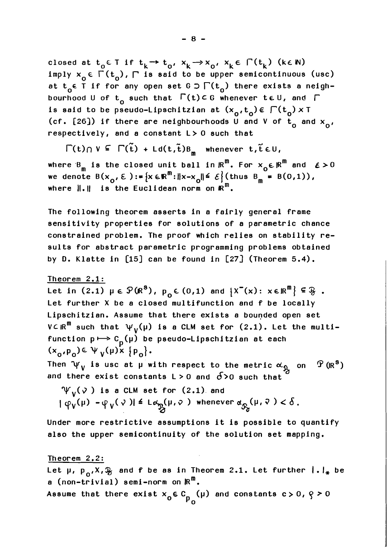closed at  $t_0 \in T$  if  $t_k \rightarrow t_0$ ,  $x_k \rightarrow x_0$ ,  $x_k \in \Gamma(t_k)$  (ke N) imply  $x_0 \in \overline{\Gamma(t_0)}$ ,  $\Gamma$  is said to be upper semicontinuous (usc) at t<sub>o</sub>∈ T if for any open set G  $\supset \Gamma(t_{o})$  there exists a neighbourhood U of  $t_0$  such that  $\Gamma(t) \subset G$  whenever  $t \in U$ , and  $\Gamma$ is said to be pseudo-Lipschitzian at  $(x_0, t_0) \in \bigcap (t_0) \times I$ (cf. [26]) if there are neighbourhoods U and V of  $t_0$  and  $x_0$ , respectively, and a constant L> 0 such that

$$
\Gamma(t) \cap V \subseteq \Gamma(\tilde{t}) + Ld(t, \tilde{t})B_m
$$
 whenever  $t, \tilde{t} \in U$ ,

where  $B_m$  is the closed unit ball in  $\mathbb{R}^m$ . For  $x_0 \in \mathbb{R}^m$  and  $\epsilon > 0$ we denote  $B(x_0, \epsilon) := \{x \in \mathbb{R}^m : ||x - x_0|| \le \epsilon\}$  (thus  $B_m = B(0,1)$ ), where  $\|\cdot\|$  is the Euclidean norm on  $\mathbb{R}^m$ .

The following theorem asserts in a fairly general frame sensitivity properties for solutions of a parametric chance constrained problem. The proof which relies on stability results for abstract parametric programming problems obtained by D. Klatte in  $[15]$  can be found in  $[27]$  (Theorem 5.4).

#### Theorem 2.1:

Let in (2.1)  $\mu \in \mathcal{P}(\mathbb{R}^{\mathbb{S}})$ ,  $p_{0} \in (0,1)$  and  $\{X^-(x): x \in \mathbb{R}^{\mathbb{N}}\} \subseteq \mathcal{P}$ .<br>Let further X be a closed multifunction and f be locally Lipschitzian. Assume that there exists a bounded open set V $\subset$   $\mathsf{IR}^{\mathsf{m}}$  such that  $\mathsf{\Psi}_{\mathsf{V}}(\mathsf{\mu})$  is a CLM set for (2.1). Let the multifunction  $p \mapsto c_{p}(\mu)$  be pseudo-Lipschitzian at each  $(x_0, p_0) \in \Psi_V(\mu)$   $\{p_0\}.$ 

Then  $\Psi_V$  is usc at  $\mu$  with respect to the metric  $\alpha_{\hat{\mu}_A}$  on  $\hat{\Psi}$  (IR<sup>S</sup>) and there exist constants L > 0 and  $\delta$  > 0 such that

 $\Psi_{v}(\nu)$  is a CLM set for (2.1) and

 $\varphi_{\mathbf{V}}(\mathbf{\mu}) - \varphi_{\mathbf{V}}(\mathbf{V}) \leq L \alpha_{\mathbf{P}}(\mathbf{\mu}, \mathbf{V})$  whenever  $\alpha_{\mathbf{R}}(\mathbf{\mu}, \mathbf{V}) < \delta$ .  $\frac{a}{2}$  and  $\frac{a}{2}$ 

Under more restrictive assumptions it is possible to quantify also the upper semicontinuity of the solution set mapping.

#### Theorem 2.2:

Let  $\mu$ ,  $p_{0}$ ,  $x$ ,  $x_{0}$  and f be as in Theorem 2.1. Let further  $| \cdot |_{*}$  be a (non-trivial) semi-norm on  $\mathbb{R}^m$ .

Assume that there exist  $x_0 \in C_0$  (µ) and constants  $c > 0$ ,  $\varphi > 0$ Po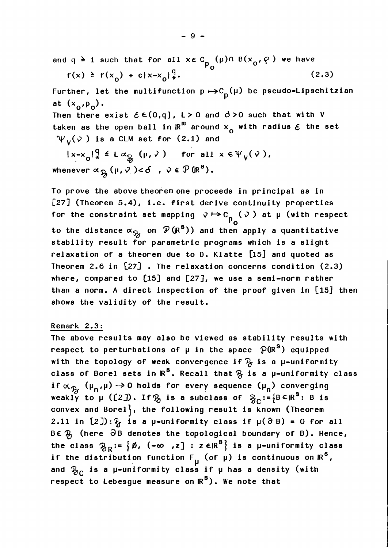and q  $\geq 1$  such that for all  $x \in C_{n}$  (µ) $\cap$  B( $x_{0}$ , $\infty$ ) we have

$$
f(x) \ge f(x_0) + c|x-x_0|^{\frac{q}{4}}
$$
 (2.3)

Further, let the multifunction  $p \mapsto C_p(\mu)$  be pseudo-Lipschitzian at  $(x_0, p_0)$ . Then there exist  $\mathcal{E} \in (0,q]$ ,  $L > 0$  and  $d > 0$  such that with V taken as the open ball in  $\mathbb{R}^m$  around  $x_n$  with radius  $\epsilon$  the set  $\Psi_{V}(\nu)$  is a CLM set for (2.1) and

 $|x-x_{0}|^{q}_{*} \leq L \alpha_{R}(\mu,\nu)$  for all  $x \in \Psi_{V}(\nu)$ , whenever  $\alpha_{\mathfrak{B}_n}(\mu,\nu) < \delta$ ,  $\nu \in \mathcal{P}(\mathbb{R}^8)$ .

To prove the above theorem one proceeds in principal as in  $[27]$  (Theorem 5.4), i.e. first derive continuity properties for the constraint set mapping  $\triangledown \mapsto c_{p_{\Omega}}(\triangledown)$  at  $\mu$  (with respect to the distance  $\alpha_{\mathfrak{R}}$  on  $\mathcal{P}(\mathbb{R}^8)$ ) and then apply a quantitative stability result for parametric programs which is a slight relaxation of a theorem due to D. Klatte [15] and quoted as Theorem 2.6 in [27] . The relaxation concerns condition (2.3) where, compared to  $[15]$  and  $[27]$ , we use a semi-norm rather than a norm. A direct inspection of the proof given in [15] then shows the validity of the result.

## Remark 2.3:

The above results may also be viewed as stability results with respect to perturbations of  $\mu$  in the space  $\mathfrak{P}(\mathbb{R}^{\mathbf{S}})$  equipped with the topology of weak convergence if  $\mathcal{B}_j$  is a  $\mu$ -uniformity class of Borel sets in  $\mathbb{R}^8$ . Recall that  $\mathcal{B}_1$  is a p-uniformity class class of Borel sets in  $R^8$ . Recall that  $\mathcal{B}$  is a  $\mu$ -uniformity<br>if  $\alpha_{\mathcal{B}}$  ( $\mu_n, \mu$ )  $\rightarrow$  0 holds for every sequence ( $\mu_n$ ) converging weakly to  $\mu$  ([2]). If  $\mathcal{B}_0$  is a subclass of  $\mathcal{B}_0:=[B\subseteq\mathbb{R}^S: B$  is convex and Borel $\}$ , the following result is known (Theorem 2.11 in  $[2]$ ):  $\frac{2}{7}$  is a  $\mu$ -uniformity class if  $\mu$ ( $\partial$ B) = 0 for all  $B \in \mathcal{B}$  (here  $\partial B$  denotes the topological boundary of B). Hence, the class  $\mathcal{B}_R := \{ \emptyset, (-\infty, z] : z \in \mathbb{R}^8 \}$  is a p-uniformity class if the distribution function  $F_{\mu}$  (of  $\mu$ ) is continuous on  $\mathbb{R}^3$ , and  $\mathcal{B}_{\cap}$  is a µ-uniformity class if **µ** has a density (with respect to Lebesgue measure on  $\mathbb{R}^S$ ). We note that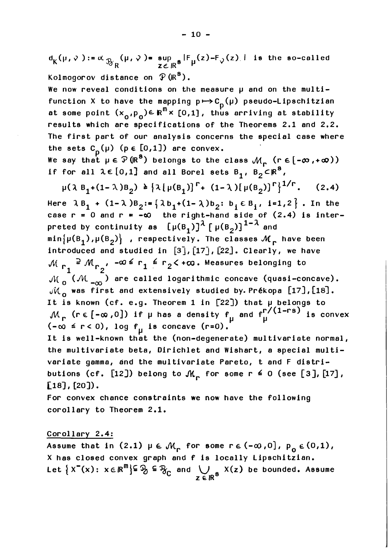$d_K(\mu, \nu) := \alpha \sup_{\mathcal{B}_R} (\mu, \nu) = \sup_{z \in \mathbb{R}^8} |F_{\mu}(z) - F_{\nu}(z)|$  is the so-called Kolmogorov distance on  $\mathcal{P}(\mathbb{R}^{\mathbf{S}})$ .

We now reveal conditions on the measure  $\mu$  and on the multifunction X to have the mapping  $p \mapsto C_p(\mu)$  pseudo-Lipschitzian  $p^{(n)}(p)$ at some point  $(x_{\alpha},p_{\alpha})\in \mathbb{R}^{m} \times [0,1]$ , thus arriving at stability results which are specifications of the Theorems 2.1 and 2.2. The first part of our analysis concerns the special case where the sets  $C_p(\mu)$  ( $p \in [0,1]$ ) are convex.

We say that  $\mu \in \mathcal{P}(\mathbb{R}^{\mathbf{S}})$  belongs to the class  $\mathcal{M}_{\mathbf{r}}$  (re[- $\infty$ , + $\infty$ )) if for all  $\lambda \in [0,1]$  and all Borel sets B<sub>1</sub>, B<sub>2</sub>CR<sup>8</sup>,

$$
\mu(\lambda B_1 + (1 - \lambda)B_2) \geq {\lambda [\mu(B_1)]^r + (1 - \lambda) [\mu(B_2)]^r}^{1/r}.
$$
 (2.4)

 $\mu(\lambda B_1 + (1-\lambda)B_2) \triangleq {\lambda[\mu(B_1)]^{\top} + (1-\lambda)[\mu(B_2)]^{\top}]^{\top}}^{\top}$ . (2.4)<br>Here  $\lambda B_1 + (1-\lambda)B_2 := {\lambda b_1 + (1-\lambda)b_2: b_1 \in B_1, i=1,2}$ . In the case  $r = 0$  and  $r = -\infty$  the right-hand side of (2.4) is interpreted by continuity as  $[\mu(B_1)]^{\lambda} [\mu(B_2)]^{1-\lambda}$  and  $min\{\mu(B_1), \mu(B_2)\}\;$  , respectively. The classes  $\mathcal{M}_r$  have been introduced and studied in [3], [17], [22]. Clearly, we have  $P^2 M_{r_0}$ ,  $-\omega \le r_1 \le r_2 < +\omega$ . Measures belonging to 2  $\mathcal{M}_{\mathbf{0}}$  ( $\mathcal{M}_{-\infty}$ ) are called logarithmic concave (quasi-concave).  $\mathcal{M}_{\Omega}$  was first and extensively studied by. Prékopa [17], [18]. It is known (cf. e.g. Theorem 1 in  $[22]$ ) that  $\mu$  belongs to  $M_{\text{r}}$  (re[- $\infty$ ,0]) if  $\mu$  has a density f<sub>11</sub> and f<sup>r/(1-rs)</sup> is convex  $(-\infty \le r < 0)$ , log  $f_{\text{H}}$  is concave  $(r=0)$ .

It is well-known that the (non-degenerate) multivariate normal, the multivariate beta, Dirichlet and Wishart, a special multivariate gamma, and the multivariate Pareto, t and F distributions (cf.  $[12]$ ) belong to  $\mathcal{M}_r$  for some  $r \le 0$  (see  $[3]$ ,  $[17]$ ,  $[18]$ ,  $[20]$ ).

For convex chance constraints we now have the following corollary to Theorem 2.1.

## Corollary 2.4:

Assume that in (2.1)  $\mu \in \mathcal{M}_r$  for some  $r \in (-\infty, 0]$ ,  $p_n \in (0,1)$ , X has closed convex graph and f is locally Lipschitzian. x has closed convex graph and f is locally Lipschitzian.<br>Let  $\{X^-(x): x \in \mathbb{R}^m\} \subseteq \mathcal{B}_C \subseteq \mathcal{B}_C$  and  $\bigcup_{z \in \mathbb{R}^8} X(z)$  be bounded. Assume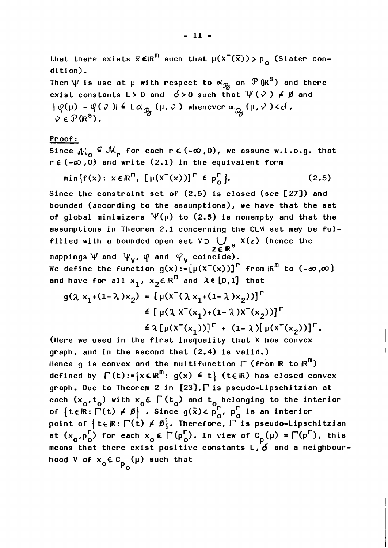that there exists  $\overline{x} \in \mathbb{R}^m$  such that  $\mu(x^-(\overline{x})) > p_{\alpha}$  (Slater condition). Then  $\psi$  is usc at  $\mu$  with respect to  $\alpha_{\mathcal{B}}$  on  $\mathcal{P}(\mathbb{R}^{\mathbb{S}})$  and there exist constants L > 0 and  $0$  > 0 such that  $\psi(\nu) \neq \emptyset$  and  $|\psi(\mu) - \psi(\nu)| \leq L \alpha_{\mathcal{B}}(\mu, \nu)$  whenever  $\alpha_{\mathcal{B}}(\mu, \nu) < \delta$ ,  $\nabla \in \mathcal{P}(\mathbb{R}^3)$ .

## Proof :

Since  $\mathcal{M}_{\Omega} \subseteq \mathcal{M}_{\Gamma}$  for each  $r \in (-\infty, 0)$ , we assume w.l.o.g. that  $r \in (-\infty, 0)$  and write  $(2.1)$  in the equivalent form

$$
\min\{f(x): x \in \mathbb{R}^m, \left[\mu(x^-(x))\right]^r \in p_0^r\}.
$$
 (2.5)

Since the constraint set of (2.5) is closed (see [27]) and bounded (according to the assumptions), we have that the set of global minimizers  $\Psi(\mu)$  to (2.5) is nonempty and that the assumptions in Theorem 2.1 concerning the CLM set may be fulassumptions in theorem 2.1 concerning the CLM set may be<br>filled with a bounded open set V  $\sum_{z \in \mathbb{R}^3}$  X(z) (hence the z∈R° mappings  $\psi$  and  $\psi_{\mathsf{v}}$ ,  $\varphi$  and  $\varphi_{\mathsf{v}}$  coincide). We define the function  $g(x)$ := $[\mu(x^-(x))]^{\Gamma}$  from  $\mathbb{R}^{\mathbb{m}}$  to  $(-\infty,\infty]$ and have for all  $x_1$ ,  $x_2 \in \mathbb{R}^m$  and  $\lambda \in [0,1]$  that  $q(\lambda x_1+(1-\lambda)x_2) = [u(x^-(\lambda x_1+(1-\lambda)x_2))]^T$ 

$$
\begin{aligned}\n&\leq \left[ \mu(\lambda x^{-}(x_1)+(1-\lambda)x^{-}(x_2)) \right]^n \\
&\leq \left[ \mu(\lambda x^{-}(x_1)+(1-\lambda)x^{-}(x_2)) \right]^n \\
&\leq \lambda \left[ \mu(x^{-}(x_1)) \right]^n + (1-\lambda) [\mu(x^{-}(x_2))]^n.\n\end{aligned}
$$

(Here we used in the first inequality that  $X$  has convex graph, and in the second that (2.4) is valid.) Hence g is convex and the multifunction  $\Gamma$  (from **R** to  $\mathbb{R}^m$ ) defined by  $\Gamma(t) := \{x \in \mathbb{R}^m : g(x) \leq t\}$  (t $\in \mathbb{R}$ ) has closed convex graph. Due to Theorem 2 in  $[23]$ ,  $\Gamma$  is pseudo-Lipschitzian at grapn. Due to ineorem 2 in [23], is pseudo-Lipscnitzian at<br>each (x<sub>o</sub>,t<sub>o</sub>) with x<sub>o</sub>E  $\Gamma$ (t<sub>o</sub>) and t<sub>o</sub> belonging to the interior each (x<sub>o</sub>,t<sub>o</sub>) with x<sub>o</sub>E | (t<sub>o</sub>) and t<sub>o</sub> belonging to the int<br>of {tElR:  $\Gamma$ (t) ≠ Ø} . Since g( $\bar{x}$ )< p $^{\Gamma}_{0}$ , p $^{\Gamma}_{0}$  is an interior of {tɛlR: $\Gamma$ (t) ≠ Ø} . Since g(x)∠ p', p' is an interior<br>point of {tɛlR: $\Gamma$ (t) ≠ Ø}. Therefore,  $\Gamma$  is pseudo-Lipschitzian point of  $\{E_{n+1}(t) \neq p\}$ . Herefore,  $r$  is pseudo-Lipschitzian<br>at  $(x_0, p_0^{\Gamma})$  for each  $x_0 \in \Gamma(p_0^{\Gamma})$ . In view of  $C_p(\mu) = \Gamma(p^{\Gamma})$ , this means that there exist positive constants L, **d** and a neighbourhood V of  $x_{\alpha} \in C_{n}$  (µ) such that Po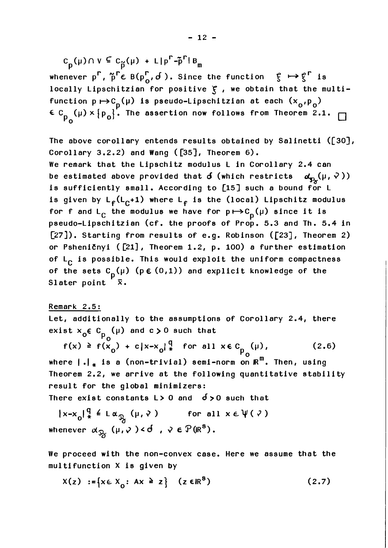$c_p(\mu) \cap v \subseteq c_{\widetilde{p}}(\mu) + L|p^r - \widetilde{p}^r|B_m$ 

whenever  $p^{\Gamma}$ ,  $\tilde{p}^{\Gamma} \in B(p_{0}^{\Gamma}, \tilde{d})$ . Since the function  $g \mapsto g^{\Gamma}$  is locally Lipschitzian for positive **<sup>5</sup>**, we obtain that the multifunction  $p \mapsto c_p(\mu)$  is pseudo-Lipschitzian at each  $(x_o, p_o)$ *<sup>E</sup>***C** (p) **x** lpol. The assertion now follows from Theorem 2.1. Po

The above corollary entends results obtained by Salinetti ([30), Corollary 3.2.2) and Wang ([35], Theorem 6). We remark that the Lipschitz modulus L in Corollary 2.4 can be estimated above provided that  $\boldsymbol{\delta}$  (which restricts  $\boldsymbol{\alpha}_{\text{f2}}(\mu,\nabla\lambda)$ ) is sufficiently small. According to [15] such a bound for L is given by  $L_{\mathbf{f}}(L_{\mathbf{C}}+1)$  where  $L_{\mathbf{f}}$  is the (local) Lipschitz modulus for f and L<sub>C</sub> the modulus we have for  $p \mapsto C_p(\mu)$  since it is pseudo-Lipschitzian (cf. the proofs of Prop. 5.3 and Th. 5.4 in  $[27]$ ). Starting from results of e.g. Robinson ( $[23]$ , Theorem 2) or Psheničnyi ( $[21]$ , Theorem 1.2, p. 100) a further estimation of  $L_{\cap}$  is possible. This would exploit the uniform compactness of the sets C<sub>p</sub>(µ) (p€ (0,1)) and explicit knowledge of the Slater point  $\bar{x}$ . Slater point

Remark 2.5:

Let, additionally to the assumptions of Corollary 2.4, there exist  $x_{o} \in C_{o}$  (µ) and  $c > 0$  such that  $P_{\rm O}$  $f(x) \ge f(x_0) + c |x-x_0|_*^{\frac{q}{*}}$  for all  $x \in C_0$  (µ), (2.6) Po where  $| \cdot |_{\ast}$  is a (non-trivial) semi-norm on  $\mathbb{R}^m$ . Then, using Theorem 2.2, we arrive at the following quantitative stability result for the global minimizers: There exist constants  $L>0$  and  $\delta>0$  such that

 $|x-x_0|^{\frac{q}{*}} \leq L \alpha_{\mathcal{D}_1}(\mu, \nu)$  for all  $x \in \Psi(\nu)$ whenever  $\alpha_{\mathfrak{R}}(\mu,\nu)$  < d,  $\nu \in \mathbb{P}(\mathbb{R}^s)$ .

We proceed with the non-convex case. Here we assume that the multifunction X is given by

$$
X(z) := \{ x \in X_0 : Ax \geq z \} \quad (z \in \mathbb{R}^8)
$$
 (2.7)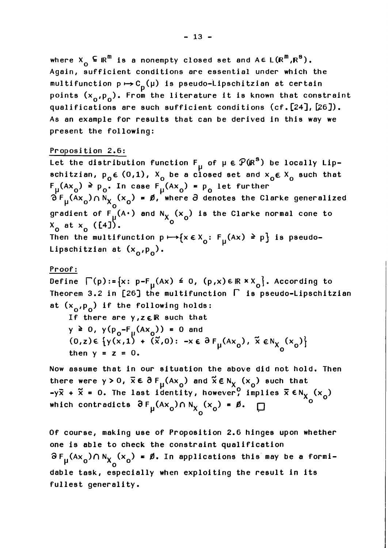where  $X_{o} \subseteq \mathbb{R}^{m}$  is a nonempty closed set and  $A \in L(\mathbb{R}^{m}, \mathbb{R}^{8})$ . Again, sufficient conditions are essential under which the multifunction  $p \mapsto C_{\overline{D}}(\mu)$  is pseudo-Lipschitzian at certain materiance.org  $p \leftrightarrow p_p$  is pecade exposite in as edicative in the points  $(x_o, p_o)$ . From the literature it is known that constraint qualifications are such sufficient conditions  $(cf.[24], [26])$ . As an example for results that can be derived in this way we present the following:

## Proposition 2.6:

Let the distribution function  $F_{\text{u}}$  of  $\mu \in \mathcal{P}(\mathbb{R}^3)$  be locally Lipschitzian,  $p_o \in (0,1)$ ,  $X_o$  be a closed set and  $X_o \in X_o$  such that  $F_{\mu}(Ax_{0}) \ge p_{0}$ . In case  $F_{\mu}(Ax_{0}) = p_{0}$  let further  $\hat{\sigma}$   $F_U(Ax_0) \cap N_X (x_0) = \emptyset$ , where  $\partial$  denotes the Clarke generalized 0 gradient of  $F_{\nu}^{\left(A\cdot\right)}$  and  $N_{X_{\Omega}}(x_{0})$  is the Clarke normal cone to  $x_0$  at  $x_0$  ([4]). Then the multifunction  $p \mapsto \{x \in X_o: F_u(Ax) \ge p\}$  is pseudo-Lipschitzian at  $(x_0, p_0)$ .

## Proof:

Define  $\Gamma(p):={x: p-F_{u}(Ax) \leq 0, (p,x)\in \mathbb{R} \times X_{0}}$ . According to Theorem 3.2 in [26] the multifunction  $\Gamma$  is pseudo-Lipschitzian at  $(x_{0}, p_{0})$  if the following holds:

If there are  $y, z \in \mathbb{R}$  such that y ≥ 0, y(p<sub>o</sub>-F<sub>µ</sub>(Ax<sub>o</sub>)) = 0 and<br>(0,z)∈ {y(x,1) + (x,0): -x ∈ ∂ F<sub>µ</sub>(Ax<sub>o</sub>),  $\tilde{x}$  ∈ N<sub>X<sub>o</sub></sub>(x<sub>o</sub>)<sup>}</sup> then  $y = z = 0$ .  $\mu \quad 0 \quad \gamma_0$ 

Now assume that in our situation the above did not hold. Then Now assume that in our situation the above did not hold. Th<br>there were  $y > 0$ ,  $\overline{x} \in \partial F_{\mu}(Ax_{0})$  and  $\overline{x} \in N_{X}(x_{0})$  such that<br> $-y\overline{x} + \overline{x} = 0$ . The last identity, however, implies  $\overline{x} \in N_{X}(x_{0})$ which contradicts  $\partial F_{\mu}(Ax_{0}) \cap N_{X_{0}}(x_{0}) = \emptyset$ .  $\Box$ 

Of course, making use of Proposition 2.6 hinges upon whether one is able to check the constraint qualification  $\partial F_{\mu} (Ax_{o}) \cap N_{X_{o}} (x_{o}) = \emptyset$ . In applications this may be a formidable task, especially when exploiting the result in its fullest generality.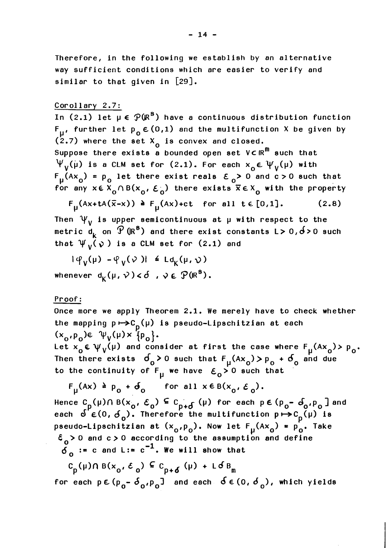Therefore, in the following we establish by an alternative way sufficient conditions which are easier to verify and similar to that given in [29].

## Corollary 2.7:

In (2.1) let  $\mu \in \mathcal{P}(\mathbb{R}^S)$  have a continuous distribution function  $F_{II}$ , further let  $p_{0} \in (0,1)$  and the multifunction X be given by  $(2.7)$  where the set  $X_0$  is convex and closed. Suppose there exists a bounded open set  $V\subset \mathbb{R}^m$  such that  $\Psi_{V}(\mu)$  is a CLM set for (2.1). For each  $x_{0} \in \Psi_{V}(\mu)$  with  $F_{\mu}(Ax_{0}) = p_{0}$  let there exist reals  $E_{0} > 0$  and  $c > 0$  such that for any  $x \in X_{0} \cap B(x_{0}, \mathcal{E}_{0})$  there exists  $\overline{x} \in X_{0}$  with the property

 $F_{\mu}$ (Ax+tA( $\bar{x}-x$ )) **a**  $F_{\mu}$ (Ax)+ct for all t  $\in$  [0,1]. (2.8)

Then  $\Psi_{\mathbf{v}}$  is upper semicontinuous at  $\mu$  with respect to the metric  $d_k$  on  $\mathcal{P}(\mathbb{R}^8)$  and there exist constants L> 0,  $6$ >0 such that  $\Psi_{V}(\gamma)$  is a CLM set for (2.1) and

 $|\varphi_v(\mu) - \varphi_v(\nu)| \leq L d_v(\mu, \nu)$ whenever  $d_K(\mu, \nu) < \delta$ ,  $\psi \in \mathcal{P}(IR^s)$ .

## Proof :

Once more we apply Theorem 2.1. We merely have to check whether the mapping  $p \mapsto C_p(\mu)$  is pseudo-Lipschitzian at each  $(x_{\alpha},p_{\alpha})\in \psi_{V}(\mu) \times \{p_{\alpha}\}.$ 

Let  $x_0 \in \psi_V(\mu)$  and consider at first the case where  $F_u(Ax_0) > p_0$ . Then there exists  $\sigma_0 > 0$  such that  $F_\mu(Ax_0) > p_0 + \sigma_0$  and due to the continuity of  $F_{\parallel}$  we have  $\epsilon_o$  o such that

$$
F_{\mu}(Ax) \triangleq p_{o} + \delta_{o} \quad \text{for all } x \in B(x_{o}, \varepsilon_{o}).
$$

Hence  $C_p(\mu) \cap B(x_0, \mathcal{E}_0) \subseteq C_{p+\sigma}(\mu)$  for each  $p \in (p_0 - \sigma_0, p_0]$  and each  $\delta^P \epsilon(0, \delta_o)$ . Therefore the multifunction  $p \mapsto c_p(\mu)$  is pseudo-Lipschitzian at  $(x_0,p_0)$ . Now let  $F_n(Ax_0) = p_0$ . Take  $\epsilon_{\alpha}$  > 0 and c > 0 according to the assumption and define  $\delta_0$  := c and L:= c<sup>-1</sup>. We will show that

 $C_p(\mu)$   $( \mu \otimes \mathbf{B}(\mathbf{x}_0, \mathcal{E}_0) \subseteq C_{p+\delta}(\mu) + \mathsf{L} \delta \mathbf{B}_m)$ 

for each  $p \in (p_{0} - \delta_{0}, p_{0})$  and each  $\delta \in (0, \delta_{0})$ , which yields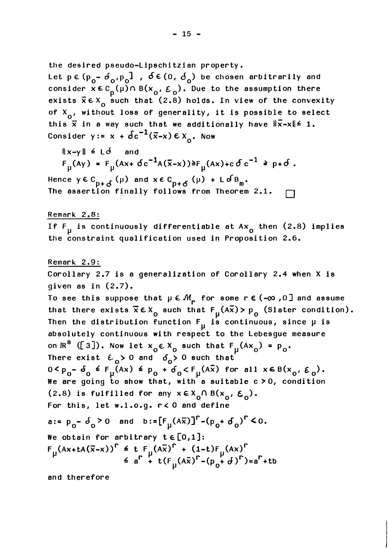the desired pseudo-Lipschi tzi an property.

Let p **∈**(p<sub>o</sub>- d<sub>o'</sub>p<sub>o</sub>], d ∈ (0, d<sub>o</sub>) be chosen arbitrarily and consider  $x \in C_0^{\sigma}(\mu) \cap B(x_0, \varepsilon_0)$ . Due to the assumption there exists  $\bar{x} \in X_0$  such that (2.8) holds. In view of the convexity of  $X_{0}$ , without loss of generality, it is possible to select this  $\bar{x}$  in a way such that we additionally have  $\|\bar{x}-x\| \leq 1$ . Consider  $y := x + \delta c^{-1}(\overline{x}-x) \in X_{\Omega}$ . Now

 $\|x-y\| \leq L\delta$  and  $F_{\mu}(Ay) = F_{\mu}(Ax + \delta c^{-1}A(\bar{x}-x)) \ge F_{\mu}(Ax) + c \delta c^{-1} \ge p + \delta$ .

Hence  $y \in C_{p+\delta}(\mu)$  and  $x \in C_{p+\delta}(\mu) + L \delta B_m$ . The assertion finally follows from Theorem 2.1.  $\Box$ 

Remark 2.8:

If F<sub>11</sub> is continuously differentiable at  $Ax_{0}$  then (2.8) implies the constraint qualification used in Proposition 2.6.

Remark 2.9: Corollary 2.7 is a generalization of Corollary 2.4 when X is given as in  $(2.7)$ . To see this suppose that  $\mu \in \mathcal{M}_{\mathbf{r}}$  for some r  $\boldsymbol{\epsilon}$  (- $\infty$  ,0] and assume that there exists  $\bar{x} \in X_0$  such that  $F_u(A\bar{x}) > p_0$  (Slater condition). Then the distribution function  $F_{\mu}$  is continuous, since  $\mu$  is absolutely continuous with respect to the Lebesgue measure on  $IR^{8}$  ([3]). Now let  $x_0 \in X_0$  such that  $F_{\mu}(Ax_0) = p_0$ . There exist  $\epsilon_0$  o and  $\delta_0$  o such that  $0 < p_0 - \delta_0 \leq F_{\mu}(Ax) \leq p_0 + \delta_0 < F_{\mu}(A\overline{x})$  for all  $x \in B(x_0, \varepsilon_0)$ . We are going to show that, with a suitable  $c > 0$ , condition (2.8) is fulfilled for any  $x \in X_0 \cap B(x_0, \varepsilon_0)$ . For this, let w.1.o.g. r< 0 and define a:=  $p_0 - \delta_0 > 0$  and  $b := [F_{\mu}(A\overline{x})]^{\Gamma} - (p_0 + \delta_0)^{\Gamma} < 0.$ We obtain for arbitrary  $t \in [0,1]$ :  $A^2 + P_0^ B_0^0$  or  $B^0$  and  $B^1 - L^1 \mu^{(A \times J)}$   $\rightarrow$   $(P_0^+$   $B_0^0)$   $\rightarrow$  0.<br>
We obtain for arbitrary  $t \in [0,1]$ :<br>  $F_{\mu}(Ax + tA(\overline{x}-x))^{\Gamma} \leq t F_{\mu}(\overline{A\overline{x}})^{\Gamma} + (1-t)F_{\mu}(Ax)^{\Gamma}$ <br>  $\leq a^{\Gamma} + t(F_{\mu}(\overline{A\overline{x}})^{\Gamma} - (p_{0} + d)^{\Gamma$ 

and therefore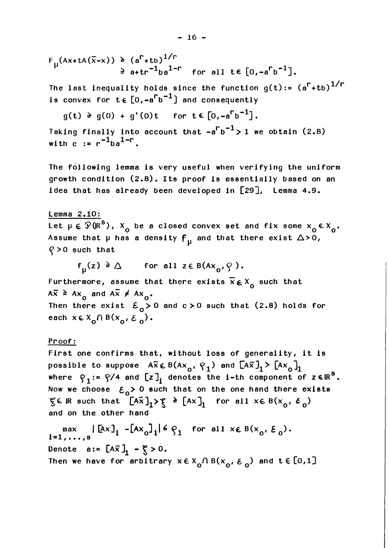$$
F_{\mu}(Ax + tA(\overline{x}-x)) \geq (a^{r}+tb)^{1/r}
$$
  
 $\geq a + tr^{-1}ba^{1-r}$  for all  $t \in [0, -a^{r}b^{-1}]$ .

The last inequality holds since the function  $g(t) := (a^{\Gamma} + tb)^{1/\Gamma}$ is convex for  $t \in [0, -a^{\Gamma}b^{-1}]$  and consequently

$$
g(t) \geq g(0) + g'(0)t \quad \text{for } t \in [0, -a^{\Gamma}b^{-1}].
$$

Taking finally into account that  $-a^{\Gamma}b^{-1} > 1$  we obtain (2.8) with c  $:= r^{-1} b a^{1-r}$ .

The following lemma is very useful when verifying the uniform growth condition (2.8). Its proof is essentially based on an idea that has already been developed in [29], Lemma 4.9.

Lemma 2.10:

Let  $\mu \in \mathcal{P}(\mathbb{R}^s)$ ,  $X_0$  be a closed convex set and fix some  $x_0 \in X_0$ . Assume that  $\mu$  has a density  $f_{\mu}$  and that there exist  $\Delta > 0$ ,  $Q > 0$  such that

$$
f_{\mathsf{u}}(z) \geq \Delta
$$
 for all  $z \in B(Ax_{0}, \varphi)$ .

Furthermore, assume that there exists  $\bar{x} \in X_{n}$  such that  $A\overline{x} \geq Ax_0$  and  $A\overline{x} \neq Ax_0$ . Then there exist  $\mathcal{E}_0 > 0$  and  $c > 0$  such that (2.8) holds for each  $x \in X_0 \cap B(x_0, \varepsilon_0)$ .

## Proof:

First one confirms that, without loss of generality, it is possible to suppose  $A\overline{x} \in B(Ax_0, q_1)$  and  $[A\overline{x}]_1 > [Ax_0]_1$ where  $\varphi_1: = \varphi/4$  and  $[z]_i$  denotes the i-th component of z  $\epsilon \mathbb{R}^8$ . Now we choose  $\epsilon_0$ > 0 such that on the one hand there exists  $\zeta \in \mathbb{R}$  such that  $[A\overline{x}]_1 > \zeta \geq [Ax]_1$  for all  $x \in B(x_0, \varepsilon_0)$ and on the other hand

max  $|\left[Ax\right]_i - \left[Ax_0\right]_i| \leq \varphi_1$  for all  $x \in B(x_0, \xi)$ i=1,..., Denote  $a:= [\Delta \overline{x}]_1 - \xi > 0$ . Then we have for arbitrary  $x \in X_{0} \cap B(x_{0}, \varepsilon_{0})$  and  $t \in [0,1]$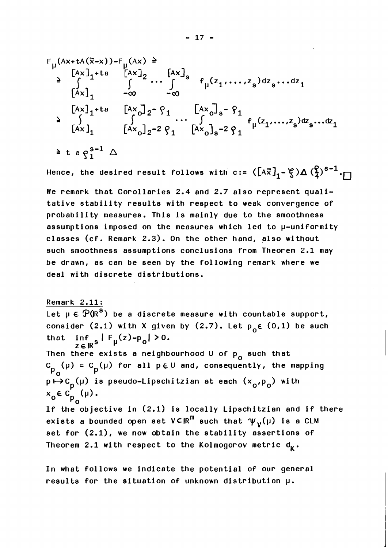$$
F_{\mu}(Ax + tA(\bar{x}-x)) - F_{\mu}(Ax) \ge \sum_{\begin{bmatrix} Ax \end{bmatrix}_{1} + t a \begin{bmatrix} Ax \end{bmatrix}_{2} \dots \int_{-\infty}^{x a} f_{\mu}(z_{1},...,z_{s}) dz_{s}...dz_{1}
$$
\n
$$
= \sum_{\begin{bmatrix} Ax \end{bmatrix}_{1} + t a \begin{bmatrix} Ax \end{bmatrix}_{2} - \hat{y}_{1} \begin{bmatrix} Ax \end{bmatrix}_{s} - \hat{y}_{1}
$$
\n
$$
\ge \int_{[Ax]_{1}}^{x a} f_{\mu}(z_{1},...,z_{s}) dz_{s}...dz_{1}
$$
\n
$$
= \sum_{\begin{bmatrix} Ax \end{bmatrix}_{1}}^{x a} f_{\mu}(x_{0}) - \sum_{\begin{bmatrix} Ax \end{bmatrix}_{2} - 2} \hat{y}_{1} \begin{bmatrix} Ax \end{bmatrix}_{s} - 2 \hat{y}_{1} + \sum_{\begin{bmatrix} Ax \end{bmatrix}_{s} - 2} \hat{y}_{1} + \sum_{\begin{bmatrix} Ax \end{bmatrix}_{s} - 2} \hat{y}_{1} + \sum_{\begin{bmatrix} Ax \end{bmatrix}_{s} - 2} \hat{y}_{1} + \sum_{\begin{bmatrix} Ax \end{bmatrix}_{s} - 2} \hat{y}_{1} + \sum_{\begin{bmatrix} Ax \end{bmatrix}_{s} - 2} \hat{y}_{1} + \sum_{\begin{bmatrix} Ax \end{bmatrix}_{s} - 2} \hat{y}_{1} + \sum_{\begin{bmatrix} Ax \end{bmatrix}_{s} - 2} \hat{y}_{1} + \sum_{\begin{bmatrix} Ax \end{bmatrix}_{s} - 2} \hat{y}_{1} + \sum_{\begin{bmatrix} Ax \end{bmatrix}_{s} - 2} \hat{y}_{1} + \sum_{\begin{bmatrix} Ax \end{bmatrix}_{s} - 2} \hat{y}_{1} + \sum_{\begin{bmatrix} Ax \end{bmatrix}_{s} - 2} \hat{y}_{1} + \sum_{\begin{bmatrix} Ax \end{bmatrix}_{s} - 2} \hat{y}_{1} + \sum_{\begin{bmatrix} Ax \end{bmatrix}_{s} - 2} \hat{y}_{1} + \sum_{\begin{bmatrix} Ax \end{bmatrix}_{s} - 2} \hat{y}_{1} +
$$

Hence, the desired result follows with c:=  $([A\overline{x}]_1 - \xi) \Delta \left(\frac{\rho}{4}\right)^{s-1} \cdot \Box$ 

We remark that Corollaries 2.4 and 2.7 also represent qualitative stability results with respect to weak convergence of probability measures. This is mainly due to the smoothness assumptions imposed on the measures which led to u-uniformity classes (cf. Remark 2.3). On the other hand, also without such smoothness assumptions conclusions from Theorem 2.1 may be drawn, as can be seen by the following remark where we deal with discrete distributions.

Remark 2.11:

Let  $\mu \in \overline{\mathcal{P}(R^s)}$  be a discrete measure with countable support, consider (2.1) with X given by (2.7). Let  $p_0 \in (0,1)$  be such that inf **1** ~,,(z)-p~I >O.

ZEIR' Then there exists a neighbourhood U of  $p_{o}$  such that C (µ) = C (µ) for all p  $\in \mathbb{U}$  and, consequently, the mapping  $P_{\mathbf{0}}$   $P_{\mathbf{0}}$  $p \mapsto c_{p}(\mu)$  is pseudo-Lipschitzian at each  $(x_{o}^{\prime}, p_{o}^{\prime})$  with  $x_0 \in C_p^{'}(\mu)$ .<br>If the objective in (2.1) is locally Lipschitzian and if there exists a bounded open set  $V\subseteq R^{m}$  such that  $\psi_{V}(\mu)$  is a CLM set for (2.1), we now obtain the stability assertions of Theorem 2.1 with respect to the Kolmogorov metric  $d_k$ .

In what follows we indicate the potential of our general results for the situation of unknown distribution  $\mu$ .

 $-17 -$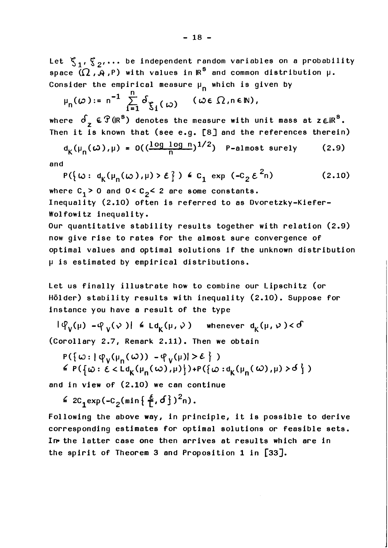Let  $\mathcal{E}_1, \mathcal{E}_2, \ldots$  be independent random variables on a probability space  $(\Omega, \mathcal{A}, P)$  with values in  $\mathbb{R}^S$  and common distribution  $\mu$ . Consider the empirical measure  $\mu_{n}$  which is given by

$$
\mu_n(\omega) := n^{-1} \sum_{i=1}^n \delta_{\xi_i(\omega)} \quad (\omega \in \Omega, n \in \mathbb{N}),
$$

where  $\delta_z \in \mathcal{F}(\mathbb{R}^s)$  denotes the measure with unit mass at  $z \in \mathbb{R}^s$ .

Then it is known that (see e.g. [8] and the references therein)  

$$
d_K(\mu_n(\omega), \mu) = O((\frac{\log \log n}{n})^{1/2})
$$
 P-almost surely (2.9)

and

$$
P(\lbrace \omega : d_K(\mu_n(\omega), \mu) > \mathcal{E} \rbrace) \triangleq c_1 \exp (-c_2 \mathcal{E}^2 n) \tag{2.10}
$$

where  $C_1 > 0$  and  $0 < C_2 < 2$  are some constants.

Inequality (2.10) often is referred to as Dvoretzky-Kiefer-Wolfowitz inequality.

Our quantitative stability results together with relation (2.9) now give rise to rates for the almost sure convergence of optimal values and optimal solutions if the unknown distribution p is estimated by empirical distributions.

Let us finally illustrate how to combine our Lipschitz (or H6lder) stability results with inequality (2.10). Suppose for instance you have a result of the type

 $|\varphi_{V}(\mu) - \varphi_{V}(\nu)| \leq L d_{K}(\mu, \nu)$  whenever  $d_{K}(\mu, \nu) < d$ (Corollary 2.7, Remark 2.11). Then we obtain

$$
P(\{\omega : |\varphi_V(\mu_n(\omega)) - \varphi_V(\mu)| > \varepsilon \})
$$
  
\$\le P(\{\omega : \varepsilon < L d\_K(\mu\_n(\omega), \mu)\}) + P(\{\omega : d\_K(\mu\_n(\omega), \mu) > \delta \})\$

and in view of (2.10) we can continue

$$
\leq 2C_1 \exp(-C_2(\min\{\frac{\varepsilon}{L},\delta\})^2 n).
$$

Following the above way, in principle, it is possible to derive corresponding estimates for optimal solutions or feasible sets. **In-** the latter case one then arrives at results which are in the spirit of Theorem 3 and Proposition 1 in  $[33]$ .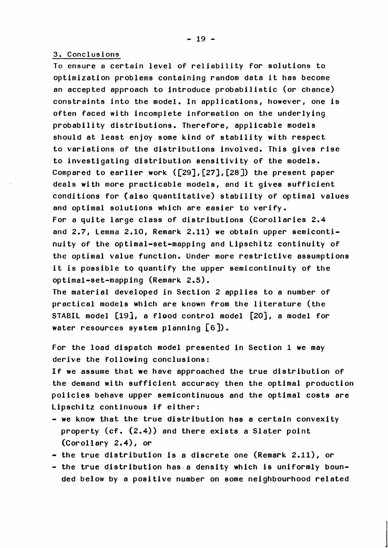#### 3. Conclusions

To ensure a certain level of reliability for solutions to optimization problems containing random data it has become an accepted approach to introduce probabilistic (or chance) constraints into the model. In applications, however, one is often faced with incomplete information on the underlying probability distributions. Therefore, applicable models should at least enjoy some kind of stability with respect to variations of the distributions involved. This gives rise to investigating distribution sensitivity of the models. Compared to earlier work  $([29] , [27] , [28])$  the present paper deals with more practicable models, and it gives sufficient conditions for (also quantitative) stability of optimal values and optimal solutions which are easier to verify. For a quite large class of distributions (Corollaries 2.4 and 2.7, Lemma 2.10, Remark 2.11) we obtain upper semicontinuity of the optimal-set-mapping and Lipschitz continuity of the optimal value function. Under more restrictive assumptions it is possible to quantify the upper semicontinuity of the optimal-set-mapping (Remark 2.5).

The material developed in Section 2 applies to a number of practical models which are known from the literature (the STABIL model [19], a flood control model [20], a model for water resources system planning **[6]).** 

For the load dispatch model presented in Section 1 we may derive the following conclusions:

If we assume that we have approached the true distribution of the demand with sufficient accuracy then the optimal production policies behave upper semicontinuous and the optimal costs are Lipschitz continuous if either:

- we know that the true distribution has **a** certain convexity property (cf. (2.4)) and there exists a Slater point (corollary 2.4)) or
- $-$  the true distribution is a discrete one (Remark 2.11), or
- the true distribution has a density which is uniformly bounded below by a positive number on some neighbourhood related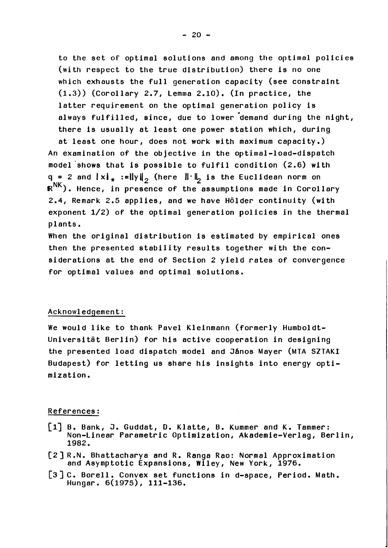to the set of optimal solutions and among the optimal policies (with respect to the true distribution) there is no one which exhausts the full generation capacity (see constraint (1.3)) (Corollary 2.7, Lemma 2.10). (In practice, the latter requirement on the optimal generation policy is always fulfilled, since, due to lower 'demand during the night, there is usually at least one power station which, during

at least one hour, does not work with maximum capacity.) An examination of the objective in the optimal-load-dispatch model'shows that is possible to fulfil condition (2.6) with q = 2 and  $\|x\|_* := \|y\|_2$  (here  $\| \cdot \|_2$  is the Euclidean norm on NK **R** ). Hence, in presence of the assumptions made in Corollary 2.4, Remark 2.5 applies, and we have Hölder continuity (with exponent 1/2) of the optimal generation policies in the thermal plants.

When the original distribution is estimated by empirical ones then the presented stability results together with the considerations at the end of Section 2 yield rates of convergence for optimal values and optimal solutions.

#### Acknowledgement:

We would like to thank Pave1 Kleinmann (formerly Humboldt-Universität Berlin) for his active cooperation in designing the presented load dispatch model and János Mayer (MTA SZTAKI Budapest) for letting us share his insights into energy optimization.

#### References :

- [I] B. Bank, **3.** Guddat, D. Klatte, B. Kummer and K. Tammer: Non-Linear Parametric Optimization, Akademie-Verlag, Berlin, 1982.
- **[2]** R.N. Bhattacharya and R. Range Rao: Normal Approximation and Asymptotic Expansions, Wiley, New York, 1976.
- [3] C. Borell. Convex set functions in d-space, Period. Math. Hungar. 6(1975), 111-136.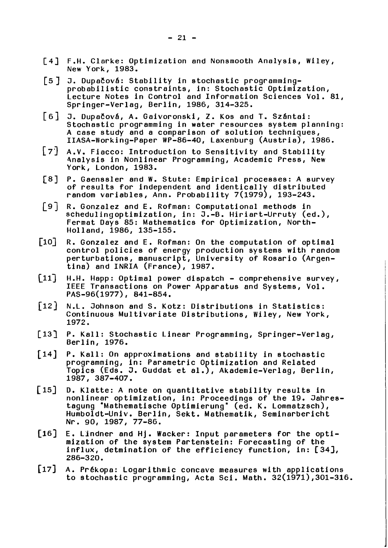- [4] F.H. Clarke: Optimization and Nonsmooth Analysis, Wiley,<br>New York, 1983.
- [5] J. Dupačová: Stability in stochastic programmingprobabilistic constraints, in: Stochastic Optimization, Lecture Notes in Control and Information Sciences Vol. 81, Springer-Verlag, Berlin, 1986, 314-325.
- [6] J. Dupačová, A. Gaivoronski, Z. Kos and T. Szántai: Stochastic programming in water resources system planning: A case study and a comparison of solution techniques,  $IIASA-Working-Paper WP-86-40$ , Laxenburg  $(Austria)$ , 1986.
- A.V. Fiacco: Introduction to Sensitivity and Stability 4nalysis in Nonlinear Programming, Academic Press, New York, London, 1983.
- P. Gaenssler and W. Stute: Empirical processes: A survey  $[8]$ of results for independent and identically distributed random variables, Ann. Probability  $7(1979)$ , 193-243.
- $\begin{bmatrix} 9 \end{bmatrix}$ R. Gonzalez and E. Rofman: Computational methods in schedulingoptimization, in: J.-B. Hiriart-Urruty (ed.), Fermat Days 85: Mathematics for Optimization, North-Holland, 1986, 135-155.
- $\lceil 10 \rceil$ R. Gonzalez and E. Rofman: On the computation of optimal control policies of energy production systems with random perturbations, manuscript, University of Rosario (Argen $tina)$  and INRIA (France), 1987.
- $[11]$ H.H. Happ : Optimal power dispatch - comprehensive survey, IEEE Transactions on Power Apparatus and Systems, Vol. PAS-96(1977) , 841-854.
- $\lceil 12 \rceil$ N.L. Johnson and S. Kotz: Distributions in Statistics: Continuous Multivariate Distributions, Wiley, New York, 1972.
- $\lceil 13 \rceil$ P. Kall: Stochastic Linear Programming, Springer-Verlag, Berlin, 1976.
- P. Kall: On approximations and stability in stochastic  $\lceil 14 \rceil$ programming, in: Parametric Optimization and Related programming, in: Parametric Optimization and Related<br>Topics (Eds. J. Guddat et al.), Akademie-Verlag, Berlin, 1987, 387-407.
- 0. Klatte: A note on quantitative stability results in  $\lceil 15 \rceil$ u. Klatte: A note on quantitative stability results in<br>nonlinear optimization, in: Proceedings of the 19. Jahrestagung 'Mathematische Optimierung' (ed. K. Lommatzsch), Humboldt-Univ. Berlin, Sekt. Mathematik, Seminarbericht Nr. 90, 1987, 77-86.
- $\lceil 16 \rceil$ E. Llndner and Hj. Wacker: Input parameters for the optimization of the system Partenstein: Forecasting of the influx, detmination of the efficiency function, in: [34], 286-320.
- [17] A. Prékopa: Logarithmic concave measures with applications to stochastic programming, Acta Sci. Math. 32(1971),301-316.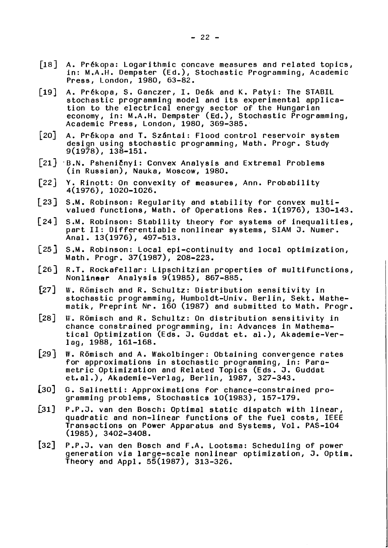- [18] A. Prékopa: Logarithmic concave measures and related topics, in: M.A.H. Dempster (Ed.), Stochastic Programming, Academic Press, London, 1980, 63-82. in: M.A.H. Dempster (Ed.), Stochastic Programming, Academ<br>Press, London, 1980, 63–82.<br>A. Prékopa, S. Ganczer, I. Deák and K. Patyi: The STABIL<br>stochastic programming model and its experimental applic*i*
- $\lceil 19 \rceil$ stochastic programming model and its experimental appIication to the electrical energy sector of the Hungarian economy, in: M.A.H. Dempster (Ed.), Stochastic Programming, Academic Press, London, 1980, 369-385..
- $\lceil 20 \rceil$ A. Prékopa and T. Szántai: Flood control reservoir system design using stochastic programming, Math. Progr. Study 9(1978), 138-151.
- [21] B.N. Psheničnyi: Convex Analysis and Extremal Problems (in Russian), Nauka, Moscow, 1980.
- $[22]$ Y. Rinott: On convexity of measures, Ann. Probability 4(1976), 1020-1026.
- $\lceil 23 \rceil$ S.M. Robinson: Regularity and stability for convex multivalued functions, Math. of Operations Res. 1(1976), 130-143.
- S.M. Robinson: Stability theory for systems of inequalities,  $\lceil 24 \rceil$ part 11: Differentiable nonlinear systems, SIAM J. Numer. Anal. 13(1976), 497-513.
- S.M. Robinson: Local epi-continui ty and local optimization, Math. Progr . 37(1987), 208-223.
- $\lceil 26 \rceil$ R.T. Rockafellar: Lipschitzian properties of multifunctions, Nonlinear Analysis 9(1985), 867-885.
- $\lceil 27 \rceil$ W. Römisch and R. Schultz: Distribution sensitivity in stochastic programming, Humboldt-Univ. Berlin, Sekt. Mathematik, Preprint Nr. 160 (1987) and submitted to Math. Progr.
- $\lceil 28 \rceil$ **\V.** Romisch and R. Schultz: On distribution sensitivity in chance constrained programming, in: Advances in Mathematical Optimization (Eds. J. Guddat et. a1 .), Akademie-Verlog, 1988, 161-168.
- $\lceil 29 \rceil$ W. Römisch and A. Wakolbinger: Obtaining convergence rates for approximations in stochastic programming, in: Parametric Optimization and Related Topics (Eds. J. Guddat et.al.), Akademie-Verlag, Berlin, 1987, 327-343.
- $\lceil 30 \rceil$ G. Salinetti : Approximations for chance-constrained programming problems, Stochastics 10(1983), 157-179.
- $\lceil 31 \rceil$ P.P.J. van den Bosch: Optimal static dispatch with linear, quadratic and non-linear functions of the fuel costs, IEEE Transactions on Power Apparatus and Systems, Vol. PAS-104  $(1985)$ , 3402-3408.
- $[32]$ P.P.J. van den Bosch and F.A. Lootsma: Scheduling of power generation via large-scale nonlinear optimization, **J.** Optim. Theory and Appl. 55(1987), 313-326.